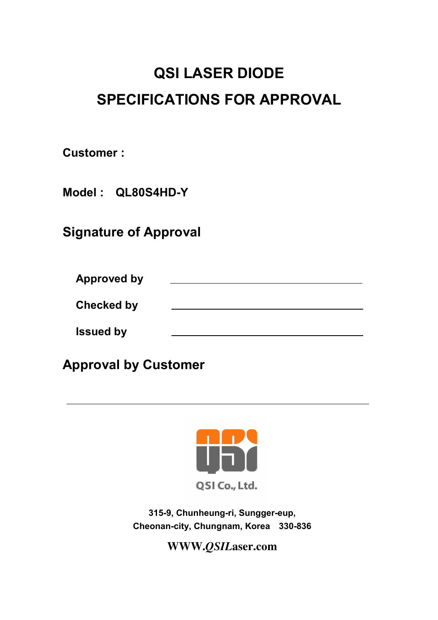# QSI LASER DIODE SPECIFICATIONS FOR APPROVAL

Customer :

Model : QL80S4HD-Y

Signature of Approval

Approved by Checked by Issued by

Approval by Customer



315-9, Chunheung-ri, Sungger-eup, Cheonan-city, Chungnam, Korea 330-836

**WWW.***QSIL***aser.com**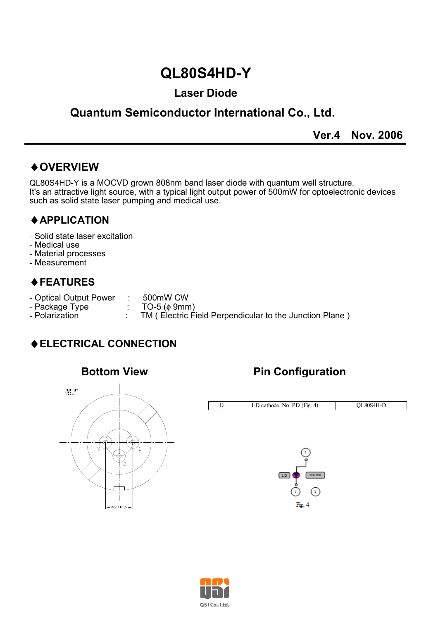## QL80S4HD-Y

#### Laser Diode

### Quantum Semiconductor International Co., Ltd.

Ver.4 Nov. 2006

#### ♦OVERVIEW

QL80S4HD-Y is a MOCVD grown 808nm band laser diode with quantum well structure. It's an attractive light source, with a typical light output power of 500mW for optoelectronic devices such as solid state laser pumping and medical use.

j

#### ♦APPLICATION

- Solid state laser excitation
- Medical use
- Material processes
- Measurement

#### ♦FEATURES

- Optical Output Power : 500mW CW<br>- Package Type : TO-5 ( $\phi$  9mm)
- Package Type<br>- Polarization
	-
	- TM ( Electric Field Perpendicular to the Junction Plane )

#### ♦ELECTRICAL CONNECTION



#### Bottom View **Pin Configuration**



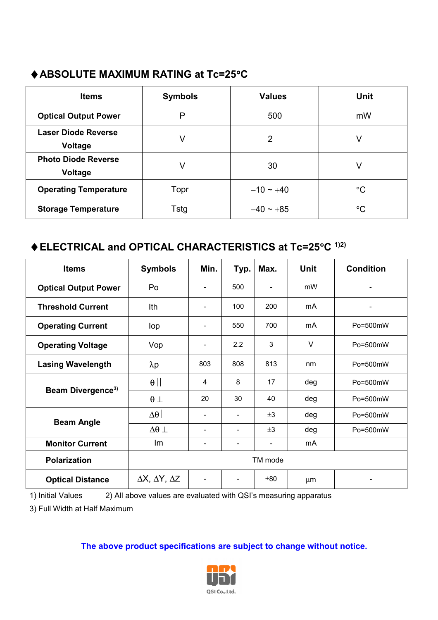#### ♦ABSOLUTE MAXIMUM RATING at Tc=25°C

| <b>Items</b>                          | <b>Symbols</b> | <b>Values</b>  | <b>Unit</b> |  |
|---------------------------------------|----------------|----------------|-------------|--|
| <b>Optical Output Power</b>           | P              | 500            | mW          |  |
| <b>Laser Diode Reverse</b><br>Voltage | V              | 2              | V           |  |
| <b>Photo Diode Reverse</b><br>Voltage | V              | 30             | V           |  |
| <b>Operating Temperature</b>          | Topr           | $-10 \sim +40$ | $^{\circ}C$ |  |
| <b>Storage Temperature</b>            | Tstg           | $-40 \sim +85$ | °C          |  |

#### ♦ELECTRICAL and OPTICAL CHARACTERISTICS at Tc=25°C 1)2)

| <b>Items</b>                  | <b>Symbols</b>                       | Min.                     | Typ.                     | Max.                     | <b>Unit</b> | <b>Condition</b> |  |
|-------------------------------|--------------------------------------|--------------------------|--------------------------|--------------------------|-------------|------------------|--|
| <b>Optical Output Power</b>   | Po                                   | $\overline{\phantom{a}}$ | 500                      | $\overline{\phantom{a}}$ | mW          |                  |  |
| <b>Threshold Current</b>      | Ith                                  | $\overline{\phantom{a}}$ | 100                      | 200                      | mA          |                  |  |
| <b>Operating Current</b>      | lop                                  | $\overline{a}$           | 550                      | 700                      | mA          | Po=500mW         |  |
| <b>Operating Voltage</b>      | Vop                                  | ٠                        | 2.2                      | 3                        | V           | Po=500mW         |  |
| <b>Lasing Wavelength</b>      | $\lambda p$                          | 803                      | 808                      | 813                      | nm          | Po=500mW         |  |
| Beam Divergence <sup>3)</sup> | $\theta$                             | 4                        | 8                        | 17                       | deg         | Po=500mW         |  |
|                               | $\theta$ $\perp$                     | 20                       | 30                       | 40                       | deg         | Po=500mW         |  |
| <b>Beam Angle</b>             | $\Delta\theta$                       | ٠                        | $\overline{\phantom{0}}$ | ±3                       | deg         | Po=500mW         |  |
|                               | $\Delta\theta\perp$                  | $\overline{\phantom{a}}$ | $\overline{\phantom{0}}$ | $\pm 3$                  | deg         | Po=500mW         |  |
| <b>Monitor Current</b>        | Im                                   | ٠                        | $\overline{a}$           | -                        | mA          |                  |  |
| <b>Polarization</b>           | TM mode                              |                          |                          |                          |             |                  |  |
| <b>Optical Distance</b>       | $\Delta X$ , $\Delta Y$ , $\Delta Z$ |                          | $\overline{a}$           | $\pm 80$                 | μm          |                  |  |

1) Initial Values 2) All above values are evaluated with QSI's measuring apparatus

3) Full Width at Half Maximum

#### The above product specifications are subject to change without notice.